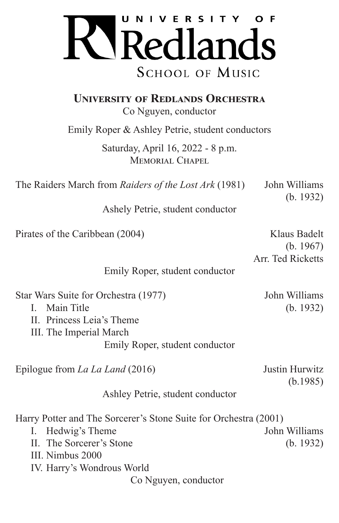

**UNIVERSITY OF REDLANDS ORCHESTRA** 

Co Nguyen, conductor

Emily Roper & Ashley Petrie, student conductors

Saturday, April 16, 2022 - 8 p.m. MEMORIAL CHAPEL

The Raiders March from *Raiders of the Lost Ark* (1981) John Williams

Ashely Petrie, student conductor

Pirates of the Caribbean (2004) Klaus Badelt

(b. 1967) Arr. Ted Ricketts

(b. 1932)

Emily Roper, student conductor

| Star Wars Suite for Orchestra (1977)                             | John Williams              |
|------------------------------------------------------------------|----------------------------|
| Main Title<br>L                                                  | (b. 1932)                  |
| II. Princess Leia's Theme                                        |                            |
| III. The Imperial March                                          |                            |
| Emily Roper, student conductor                                   |                            |
| Epilogue from <i>La La Land</i> (2016)                           | Justin Hurwitz<br>(b.1985) |
| Ashley Petrie, student conductor                                 |                            |
| Harry Potter and The Sorcerer's Stone Suite for Orchestra (2001) |                            |
| Hedwig's Theme<br>$\mathbf{I}$ .                                 | John Williams              |
| II. The Sorcerer's Stone                                         | (b. 1932)                  |
| III. Nimbus 2000                                                 |                            |
| IV. Harry's Wondrous World                                       |                            |
| Co Nguyen, conductor                                             |                            |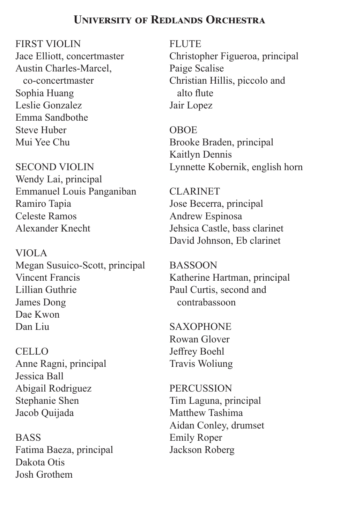## **UNIVERSITY OF REDLANDS ORCHESTRA**

FIRST VIOLIN

Jace Elliott, concertmaster Austin Charles-Marcel, co-concertmaster Sophia Huang Leslie Gonzalez Emma Sandbothe Steve Huber Mui Yee Chu

SECOND VIOLIN Wendy Lai, principal Emmanuel Louis Panganiban Ramiro Tapia Celeste Ramos Alexander Knecht

VIOLA Megan Susuico-Scott, principal Vincent Francis Lillian Guthrie James Dong Dae Kwon Dan Liu

CELLO Anne Ragni, principal Jessica Ball Abigail Rodriguez Stephanie Shen Jacob Quijada

**BASS** Fatima Baeza, principal Dakota Otis Josh Grothem

**FLUTE** Christopher Figueroa, principal Paige Scalise Christian Hillis, piccolo and alto flute Jair Lopez

OBOE Brooke Braden, principal Kaitlyn Dennis Lynnette Kobernik, english horn

CLARINET Jose Becerra, principal Andrew Espinosa Jehsica Castle, bass clarinet David Johnson, Eb clarinet

BASSOON Katherine Hartman, principal Paul Curtis, second and contrabassoon

**SAXOPHONE** Rowan Glover Jeffrey Boehl Travis Woliung

**PERCUSSION** Tim Laguna, principal Matthew Tashima Aidan Conley, drumset Emily Roper Jackson Roberg